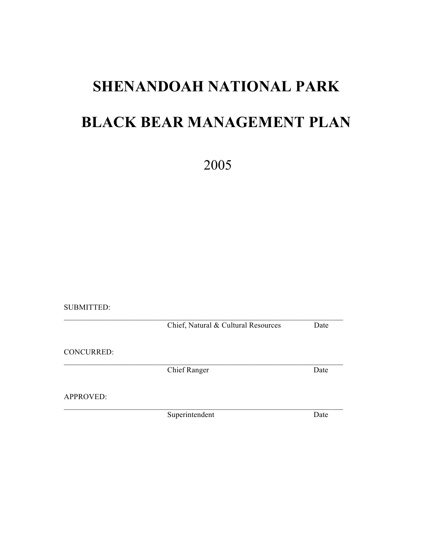# **SHENANDOAH NATIONAL PARK BLACK BEAR MANAGEMENT PLAN**

2005

SUBMITTED:

 $\mathcal{L}_\text{max} = \mathcal{L}_\text{max} = \mathcal{L}_\text{max} = \mathcal{L}_\text{max} = \mathcal{L}_\text{max} = \mathcal{L}_\text{max} = \mathcal{L}_\text{max} = \mathcal{L}_\text{max} = \mathcal{L}_\text{max} = \mathcal{L}_\text{max} = \mathcal{L}_\text{max} = \mathcal{L}_\text{max} = \mathcal{L}_\text{max} = \mathcal{L}_\text{max} = \mathcal{L}_\text{max} = \mathcal{L}_\text{max} = \mathcal{L}_\text{max} = \mathcal{L}_\text{max} = \mathcal{$ Chief, Natural & Cultural Resources Date

CONCURRED:

Chief Ranger Date

 $\mathcal{L}_\text{max} = \mathcal{L}_\text{max} = \mathcal{L}_\text{max} = \mathcal{L}_\text{max} = \mathcal{L}_\text{max} = \mathcal{L}_\text{max} = \mathcal{L}_\text{max} = \mathcal{L}_\text{max} = \mathcal{L}_\text{max} = \mathcal{L}_\text{max} = \mathcal{L}_\text{max} = \mathcal{L}_\text{max} = \mathcal{L}_\text{max} = \mathcal{L}_\text{max} = \mathcal{L}_\text{max} = \mathcal{L}_\text{max} = \mathcal{L}_\text{max} = \mathcal{L}_\text{max} = \mathcal{$ 

APPROVED:

Superintendent Date

 $\mathcal{L}_\text{max} = \mathcal{L}_\text{max} = \mathcal{L}_\text{max} = \mathcal{L}_\text{max} = \mathcal{L}_\text{max} = \mathcal{L}_\text{max} = \mathcal{L}_\text{max} = \mathcal{L}_\text{max} = \mathcal{L}_\text{max} = \mathcal{L}_\text{max} = \mathcal{L}_\text{max} = \mathcal{L}_\text{max} = \mathcal{L}_\text{max} = \mathcal{L}_\text{max} = \mathcal{L}_\text{max} = \mathcal{L}_\text{max} = \mathcal{L}_\text{max} = \mathcal{L}_\text{max} = \mathcal{$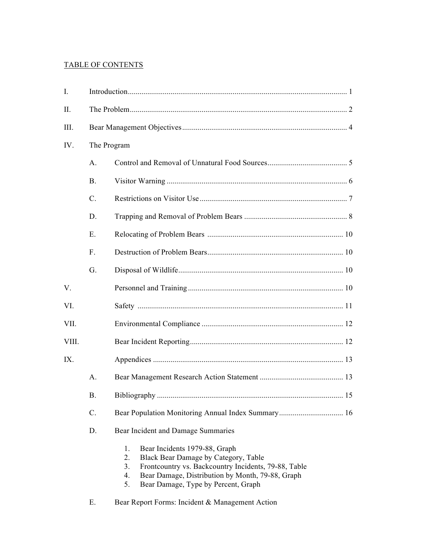# TABLE OF CONTENTS

| I.    |            |                                                                                                                                                                                                                                                        |  |  |  |
|-------|------------|--------------------------------------------------------------------------------------------------------------------------------------------------------------------------------------------------------------------------------------------------------|--|--|--|
| Π.    |            |                                                                                                                                                                                                                                                        |  |  |  |
| III.  |            |                                                                                                                                                                                                                                                        |  |  |  |
| IV.   |            | The Program                                                                                                                                                                                                                                            |  |  |  |
|       | A.         |                                                                                                                                                                                                                                                        |  |  |  |
|       | <b>B</b> . |                                                                                                                                                                                                                                                        |  |  |  |
|       | $C$ .      |                                                                                                                                                                                                                                                        |  |  |  |
|       | D.         |                                                                                                                                                                                                                                                        |  |  |  |
|       | Ε.         |                                                                                                                                                                                                                                                        |  |  |  |
|       | F.         |                                                                                                                                                                                                                                                        |  |  |  |
|       | G.         |                                                                                                                                                                                                                                                        |  |  |  |
| V.    |            |                                                                                                                                                                                                                                                        |  |  |  |
| VI.   |            |                                                                                                                                                                                                                                                        |  |  |  |
| VII.  |            |                                                                                                                                                                                                                                                        |  |  |  |
| VIII. |            |                                                                                                                                                                                                                                                        |  |  |  |
| IX.   |            |                                                                                                                                                                                                                                                        |  |  |  |
|       | A.         |                                                                                                                                                                                                                                                        |  |  |  |
|       | <b>B.</b>  |                                                                                                                                                                                                                                                        |  |  |  |
|       | C.         |                                                                                                                                                                                                                                                        |  |  |  |
|       | D.         | Bear Incident and Damage Summaries                                                                                                                                                                                                                     |  |  |  |
|       |            | 1.<br>Bear Incidents 1979-88, Graph<br>Black Bear Damage by Category, Table<br>2.<br>3.<br>Frontcountry vs. Backcountry Incidents, 79-88, Table<br>Bear Damage, Distribution by Month, 79-88, Graph<br>4.<br>Bear Damage, Type by Percent, Graph<br>5. |  |  |  |

E. Bear Report Forms: Incident & Management Action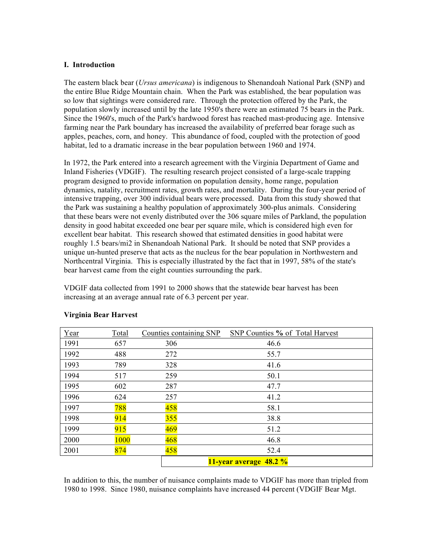#### **I. Introduction**

The eastern black bear (*Ursus americana*) is indigenous to Shenandoah National Park (SNP) and the entire Blue Ridge Mountain chain. When the Park was established, the bear population was so low that sightings were considered rare. Through the protection offered by the Park, the population slowly increased until by the late 1950's there were an estimated 75 bears in the Park. Since the 1960's, much of the Park's hardwood forest has reached mast-producing age. Intensive farming near the Park boundary has increased the availability of preferred bear forage such as apples, peaches, corn, and honey. This abundance of food, coupled with the protection of good habitat, led to a dramatic increase in the bear population between 1960 and 1974.

In 1972, the Park entered into a research agreement with the Virginia Department of Game and Inland Fisheries (VDGIF). The resulting research project consisted of a large-scale trapping program designed to provide information on population density, home range, population dynamics, natality, recruitment rates, growth rates, and mortality. During the four-year period of intensive trapping, over 300 individual bears were processed. Data from this study showed that the Park was sustaining a healthy population of approximately 300-plus animals. Considering that these bears were not evenly distributed over the 306 square miles of Parkland, the population density in good habitat exceeded one bear per square mile, which is considered high even for excellent bear habitat. This research showed that estimated densities in good habitat were roughly 1.5 bears/mi2 in Shenandoah National Park. It should be noted that SNP provides a unique un-hunted preserve that acts as the nucleus for the bear population in Northwestern and Northcentral Virginia. This is especially illustrated by the fact that in 1997, 58% of the state's bear harvest came from the eight counties surrounding the park.

VDGIF data collected from 1991 to 2000 shows that the statewide bear harvest has been increasing at an average annual rate of 6.3 percent per year.

| Year | Total | Counties containing SNP | SNP Counties % of Total Harvest |  |  |
|------|-------|-------------------------|---------------------------------|--|--|
| 1991 | 657   | 306                     | 46.6                            |  |  |
| 1992 | 488   | 272                     | 55.7                            |  |  |
| 1993 | 789   | 328                     | 41.6                            |  |  |
| 1994 | 517   | 259                     | 50.1                            |  |  |
| 1995 | 602   | 287                     | 47.7                            |  |  |
| 1996 | 624   | 257                     | 41.2                            |  |  |
| 1997 | 788   | 458                     | 58.1                            |  |  |
| 1998 | 914   | 355                     | 38.8                            |  |  |
| 1999 | 915   | 469                     | 51.2                            |  |  |
| 2000 | 1000  | 468                     | 46.8                            |  |  |
| 2001 | 874   | 458                     | 52.4                            |  |  |
|      |       |                         | 11-year average 48.2 %          |  |  |

## **Virginia Bear Harvest**

In addition to this, the number of nuisance complaints made to VDGIF has more than tripled from 1980 to 1998. Since 1980, nuisance complaints have increased 44 percent (VDGIF Bear Mgt.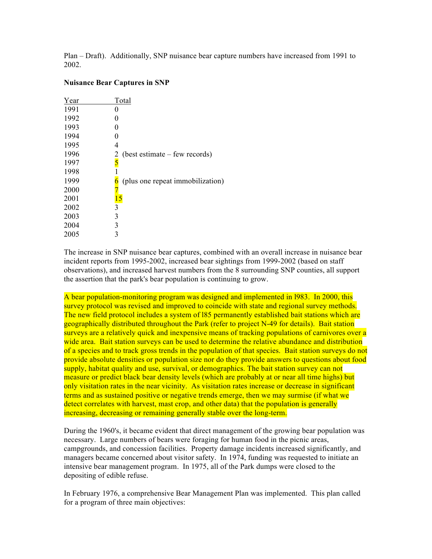Plan – Draft). Additionally, SNP nuisance bear capture numbers have increased from 1991 to 2002.

#### **Nuisance Bear Captures in SNP**

| Year | Total                            |
|------|----------------------------------|
| 1991 |                                  |
| 1992 |                                  |
| 1993 | 0                                |
| 1994 |                                  |
| 1995 | 4                                |
| 1996 | (best estimate – few records)    |
| 1997 | $\frac{2}{5}$                    |
| 1998 |                                  |
| 1999 | (plus one repeat immobilization) |
| 2000 |                                  |
| 2001 | <u>15</u>                        |
| 2002 | 3                                |
| 2003 | 3                                |
| 2004 | 3                                |
| 2005 | 3                                |

The increase in SNP nuisance bear captures, combined with an overall increase in nuisance bear incident reports from 1995-2002, increased bear sightings from 1999-2002 (based on staff observations), and increased harvest numbers from the 8 surrounding SNP counties, all support the assertion that the park's bear population is continuing to grow.

A bear population-monitoring program was designed and implemented in l983. In 2000, this survey protocol was revised and improved to coincide with state and regional survey methods. The new field protocol includes a system of 185 permanently established bait stations which are geographically distributed throughout the Park (refer to project N-49 for details). Bait station surveys are a relatively quick and inexpensive means of tracking populations of carnivores over a wide area. Bait station surveys can be used to determine the relative abundance and distribution of a species and to track gross trends in the population of that species. Bait station surveys do not provide absolute densities or population size nor do they provide answers to questions about food supply, habitat quality and use, survival, or demographics. The bait station survey can not measure or predict black bear density levels (which are probably at or near all time highs) but only visitation rates in the near vicinity. As visitation rates increase or decrease in significant terms and as sustained positive or negative trends emerge, then we may surmise (if what we detect correlates with harvest, mast crop, and other data) that the population is generally increasing, decreasing or remaining generally stable over the long-term.

During the 1960's, it became evident that direct management of the growing bear population was necessary. Large numbers of bears were foraging for human food in the picnic areas, campgrounds, and concession facilities. Property damage incidents increased significantly, and managers became concerned about visitor safety. In 1974, funding was requested to initiate an intensive bear management program. In 1975, all of the Park dumps were closed to the depositing of edible refuse.

In February 1976, a comprehensive Bear Management Plan was implemented. This plan called for a program of three main objectives: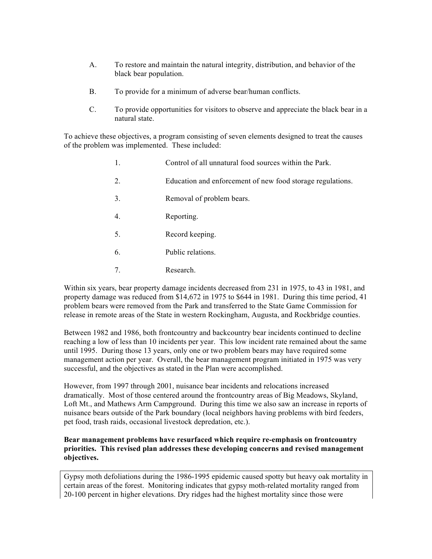- A. To restore and maintain the natural integrity, distribution, and behavior of the black bear population.
- B. To provide for a minimum of adverse bear/human conflicts.
- C. To provide opportunities for visitors to observe and appreciate the black bear in a natural state.

To achieve these objectives, a program consisting of seven elements designed to treat the causes of the problem was implemented. These included:

- 1. Control of all unnatural food sources within the Park.
- 2. Education and enforcement of new food storage regulations.
- 3. Removal of problem bears.
- 4. Reporting.
- 5. Record keeping.
- 6. Public relations.
- 7. Research.

Within six years, bear property damage incidents decreased from 231 in 1975, to 43 in 1981, and property damage was reduced from \$14,672 in 1975 to \$644 in 1981. During this time period, 41 problem bears were removed from the Park and transferred to the State Game Commission for release in remote areas of the State in western Rockingham, Augusta, and Rockbridge counties.

Between 1982 and 1986, both frontcountry and backcountry bear incidents continued to decline reaching a low of less than 10 incidents per year. This low incident rate remained about the same until 1995. During those 13 years, only one or two problem bears may have required some management action per year. Overall, the bear management program initiated in 1975 was very successful, and the objectives as stated in the Plan were accomplished.

However, from 1997 through 2001, nuisance bear incidents and relocations increased dramatically. Most of those centered around the frontcountry areas of Big Meadows, Skyland, Loft Mt., and Mathews Arm Campground. During this time we also saw an increase in reports of nuisance bears outside of the Park boundary (local neighbors having problems with bird feeders, pet food, trash raids, occasional livestock depredation, etc.).

## **Bear management problems have resurfaced which require re-emphasis on frontcountry priorities. This revised plan addresses these developing concerns and revised management objectives.**

Gypsy moth defoliations during the 1986-1995 epidemic caused spotty but heavy oak mortality in certain areas of the forest. Monitoring indicates that gypsy moth-related mortality ranged from 20-100 percent in higher elevations. Dry ridges had the highest mortality since those were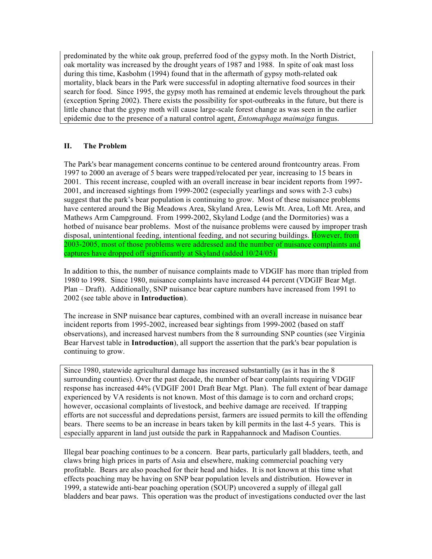predominated by the white oak group, preferred food of the gypsy moth. In the North District, oak mortality was increased by the drought years of 1987 and 1988. In spite of oak mast loss during this time, Kasbohm (1994) found that in the aftermath of gypsy moth-related oak mortality, black bears in the Park were successful in adopting alternative food sources in their search for food. Since 1995, the gypsy moth has remained at endemic levels throughout the park (exception Spring 2002). There exists the possibility for spot-outbreaks in the future, but there is little chance that the gypsy moth will cause large-scale forest change as was seen in the earlier epidemic due to the presence of a natural control agent, *Entomaphaga maimaiga* fungus.

## **II. The Problem**

The Park's bear management concerns continue to be centered around frontcountry areas. From 1997 to 2000 an average of 5 bears were trapped/relocated per year, increasing to 15 bears in 2001. This recent increase, coupled with an overall increase in bear incident reports from 1997- 2001, and increased sightings from 1999-2002 (especially yearlings and sows with 2-3 cubs) suggest that the park's bear population is continuing to grow. Most of these nuisance problems have centered around the Big Meadows Area, Skyland Area, Lewis Mt. Area, Loft Mt. Area, and Mathews Arm Campground. From 1999-2002, Skyland Lodge (and the Dormitories) was a hotbed of nuisance bear problems. Most of the nuisance problems were caused by improper trash disposal, unintentional feeding, intentional feeding, and not securing buildings. However, from 2003-2005, most of those problems were addressed and the number of nuisance complaints and captures have dropped off significantly at Skyland (added 10/24/05).

In addition to this, the number of nuisance complaints made to VDGIF has more than tripled from 1980 to 1998. Since 1980, nuisance complaints have increased 44 percent (VDGIF Bear Mgt. Plan – Draft). Additionally, SNP nuisance bear capture numbers have increased from 1991 to 2002 (see table above in **Introduction**).

The increase in SNP nuisance bear captures, combined with an overall increase in nuisance bear incident reports from 1995-2002, increased bear sightings from 1999-2002 (based on staff observations), and increased harvest numbers from the 8 surrounding SNP counties (see Virginia Bear Harvest table in **Introduction**), all support the assertion that the park's bear population is continuing to grow.

Since 1980, statewide agricultural damage has increased substantially (as it has in the 8 surrounding counties). Over the past decade, the number of bear complaints requiring VDGIF response has increased 44% (VDGIF 2001 Draft Bear Mgt. Plan). The full extent of bear damage experienced by VA residents is not known. Most of this damage is to corn and orchard crops; however, occasional complaints of livestock, and beehive damage are received. If trapping efforts are not successful and depredations persist, farmers are issued permits to kill the offending bears. There seems to be an increase in bears taken by kill permits in the last 4-5 years. This is especially apparent in land just outside the park in Rappahannock and Madison Counties.

Illegal bear poaching continues to be a concern. Bear parts, particularly gall bladders, teeth, and claws bring high prices in parts of Asia and elsewhere, making commercial poaching very profitable. Bears are also poached for their head and hides. It is not known at this time what effects poaching may be having on SNP bear population levels and distribution. However in 1999, a statewide anti-bear poaching operation (SOUP) uncovered a supply of illegal gall bladders and bear paws. This operation was the product of investigations conducted over the last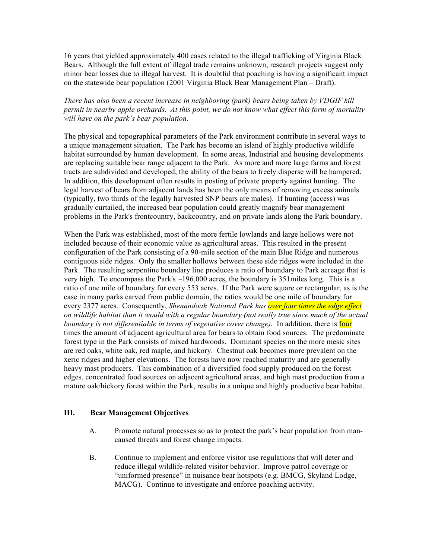16 years that yielded approximately 400 cases related to the illegal trafficking of Virginia Black Bears. Although the full extent of illegal trade remains unknown, research projects suggest only minor bear losses due to illegal harvest. It is doubtful that poaching is having a significant impact on the statewide bear population (2001 Virginia Black Bear Management Plan – Draft).

*There has also been a recent increase in neighboring (park) bears being taken by VDGIF kill permit in nearby apple orchards. At this point, we do not know what effect this form of mortality will have on the park's bear population.* 

The physical and topographical parameters of the Park environment contribute in several ways to a unique management situation. The Park has become an island of highly productive wildlife habitat surrounded by human development. In some areas, Industrial and housing developments are replacing suitable bear range adjacent to the Park. As more and more large farms and forest tracts are subdivided and developed, the ability of the bears to freely disperse will be hampered. In addition, this development often results in posting of private property against hunting. The legal harvest of bears from adjacent lands has been the only means of removing excess animals (typically, two thirds of the legally harvested SNP bears are males). If hunting (access) was gradually curtailed, the increased bear population could greatly magnify bear management problems in the Park's frontcountry, backcountry, and on private lands along the Park boundary.

When the Park was established, most of the more fertile lowlands and large hollows were not included because of their economic value as agricultural areas. This resulted in the present configuration of the Park consisting of a 90-mile section of the main Blue Ridge and numerous contiguous side ridges. Only the smaller hollows between these side ridges were included in the Park. The resulting serpentine boundary line produces a ratio of boundary to Park acreage that is very high. To encompass the Park's ~196,000 acres, the boundary is 351miles long. This is a ratio of one mile of boundary for every 553 acres. If the Park were square or rectangular, as is the case in many parks carved from public domain, the ratios would be one mile of boundary for every 2377 acres. Consequently, *Shenandoah National Park has over four times the edge effect on wildlife habitat than it would with a regular boundary (not really true since much of the actual boundary is not differentiable in terms of vegetative cover change).* In addition, there is four times the amount of adjacent agricultural area for bears to obtain food sources. The predominate forest type in the Park consists of mixed hardwoods. Dominant species on the more mesic sites are red oaks, white oak, red maple, and hickory. Chestnut oak becomes more prevalent on the xeric ridges and higher elevations. The forests have now reached maturity and are generally heavy mast producers. This combination of a diversified food supply produced on the forest edges, concentrated food sources on adjacent agricultural areas, and high mast production from a mature oak/hickory forest within the Park, results in a unique and highly productive bear habitat.

## **III. Bear Management Objectives**

- A. Promote natural processes so as to protect the park's bear population from mancaused threats and forest change impacts.
- B. Continue to implement and enforce visitor use regulations that will deter and reduce illegal wildlife-related visitor behavior. Improve patrol coverage or "uniformed presence" in nuisance bear hotspots (e.g. BMCG, Skyland Lodge, MACG). Continue to investigate and enforce poaching activity.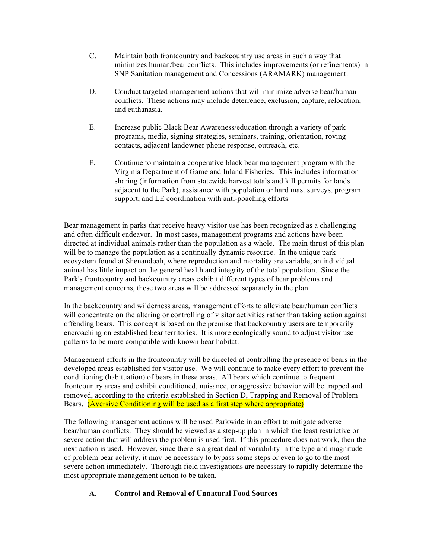- C. Maintain both frontcountry and backcountry use areas in such a way that minimizes human/bear conflicts. This includes improvements (or refinements) in SNP Sanitation management and Concessions (ARAMARK) management.
- D. Conduct targeted management actions that will minimize adverse bear/human conflicts. These actions may include deterrence, exclusion, capture, relocation, and euthanasia.
- E. Increase public Black Bear Awareness/education through a variety of park programs, media, signing strategies, seminars, training, orientation, roving contacts, adjacent landowner phone response, outreach, etc.
- F. Continue to maintain a cooperative black bear management program with the Virginia Department of Game and Inland Fisheries. This includes information sharing (information from statewide harvest totals and kill permits for lands adjacent to the Park), assistance with population or hard mast surveys, program support, and LE coordination with anti-poaching efforts

Bear management in parks that receive heavy visitor use has been recognized as a challenging and often difficult endeavor. In most cases, management programs and actions have been directed at individual animals rather than the population as a whole. The main thrust of this plan will be to manage the population as a continually dynamic resource. In the unique park ecosystem found at Shenandoah, where reproduction and mortality are variable, an individual animal has little impact on the general health and integrity of the total population. Since the Park's frontcountry and backcountry areas exhibit different types of bear problems and management concerns, these two areas will be addressed separately in the plan.

In the backcountry and wilderness areas, management efforts to alleviate bear/human conflicts will concentrate on the altering or controlling of visitor activities rather than taking action against offending bears. This concept is based on the premise that backcountry users are temporarily encroaching on established bear territories. It is more ecologically sound to adjust visitor use patterns to be more compatible with known bear habitat.

Management efforts in the frontcountry will be directed at controlling the presence of bears in the developed areas established for visitor use. We will continue to make every effort to prevent the conditioning (habituation) of bears in these areas. All bears which continue to frequent frontcountry areas and exhibit conditioned, nuisance, or aggressive behavior will be trapped and removed, according to the criteria established in Section D, Trapping and Removal of Problem Bears. (Aversive Conditioning will be used as a first step where appropriate)

The following management actions will be used Parkwide in an effort to mitigate adverse bear/human conflicts. They should be viewed as a step-up plan in which the least restrictive or severe action that will address the problem is used first. If this procedure does not work, then the next action is used. However, since there is a great deal of variability in the type and magnitude of problem bear activity, it may be necessary to bypass some steps or even to go to the most severe action immediately. Thorough field investigations are necessary to rapidly determine the most appropriate management action to be taken.

# **A. Control and Removal of Unnatural Food Sources**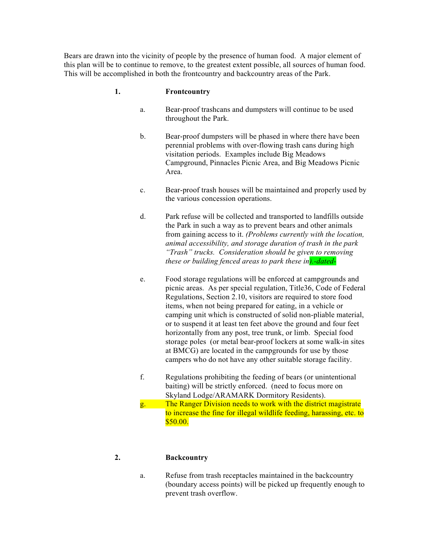Bears are drawn into the vicinity of people by the presence of human food. A major element of this plan will be to continue to remove, to the greatest extent possible, all sources of human food. This will be accomplished in both the frontcountry and backcountry areas of the Park.

## **1. Frontcountry**

- a. Bear-proof trashcans and dumpsters will continue to be used throughout the Park.
- b. Bear-proof dumpsters will be phased in where there have been perennial problems with over-flowing trash cans during high visitation periods. Examples include Big Meadows Campground, Pinnacles Picnic Area, and Big Meadows Picnic Area.
- c. Bear-proof trash houses will be maintained and properly used by the various concession operations.
- d. Park refuse will be collected and transported to landfills outside the Park in such a way as to prevent bears and other animals from gaining access to it. *(Problems currently with the location, animal accessibility, and storage duration of trash in the park "Trash" trucks. Consideration should be given to removing these or building fenced areas to park these in).-dated-*
- e. Food storage regulations will be enforced at campgrounds and picnic areas. As per special regulation, Title36, Code of Federal Regulations, Section 2.10, visitors are required to store food items, when not being prepared for eating, in a vehicle or camping unit which is constructed of solid non-pliable material, or to suspend it at least ten feet above the ground and four feet horizontally from any post, tree trunk, or limb. Special food storage poles (or metal bear-proof lockers at some walk-in sites at BMCG) are located in the campgrounds for use by those campers who do not have any other suitable storage facility.
- f. Regulations prohibiting the feeding of bears (or unintentional baiting) will be strictly enforced. (need to focus more on Skyland Lodge/ARAMARK Dormitory Residents).
- g. The Ranger Division needs to work with the district magistrate to increase the fine for illegal wildlife feeding, harassing, etc. to \$50.00.

# **2. Backcountry**

a. Refuse from trash receptacles maintained in the backcountry (boundary access points) will be picked up frequently enough to prevent trash overflow.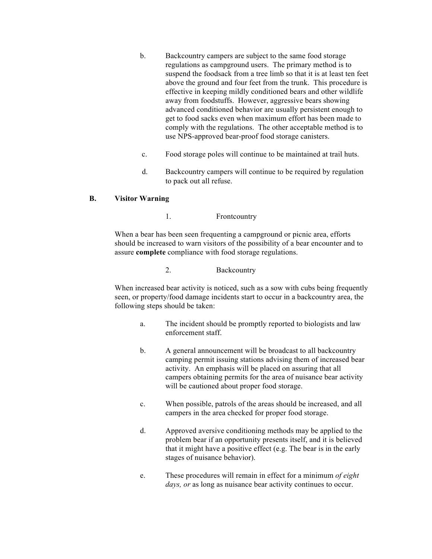- b. Backcountry campers are subject to the same food storage regulations as campground users. The primary method is to suspend the foodsack from a tree limb so that it is at least ten feet above the ground and four feet from the trunk. This procedure is effective in keeping mildly conditioned bears and other wildlife away from foodstuffs. However, aggressive bears showing advanced conditioned behavior are usually persistent enough to get to food sacks even when maximum effort has been made to comply with the regulations. The other acceptable method is to use NPS-approved bear-proof food storage canisters.
- c. Food storage poles will continue to be maintained at trail huts.
- d. Backcountry campers will continue to be required by regulation to pack out all refuse.

# **B. Visitor Warning**

1. Frontcountry

When a bear has been seen frequenting a campground or picnic area, efforts should be increased to warn visitors of the possibility of a bear encounter and to assure **complete** compliance with food storage regulations.

2. Backcountry

When increased bear activity is noticed, such as a sow with cubs being frequently seen, or property/food damage incidents start to occur in a backcountry area, the following steps should be taken:

- a. The incident should be promptly reported to biologists and law enforcement staff.
- b. A general announcement will be broadcast to all backcountry camping permit issuing stations advising them of increased bear activity. An emphasis will be placed on assuring that all campers obtaining permits for the area of nuisance bear activity will be cautioned about proper food storage.
- c. When possible, patrols of the areas should be increased, and all campers in the area checked for proper food storage.
- d. Approved aversive conditioning methods may be applied to the problem bear if an opportunity presents itself, and it is believed that it might have a positive effect (e.g. The bear is in the early stages of nuisance behavior).
- e. These procedures will remain in effect for a minimum *of eight days, or* as long as nuisance bear activity continues to occur.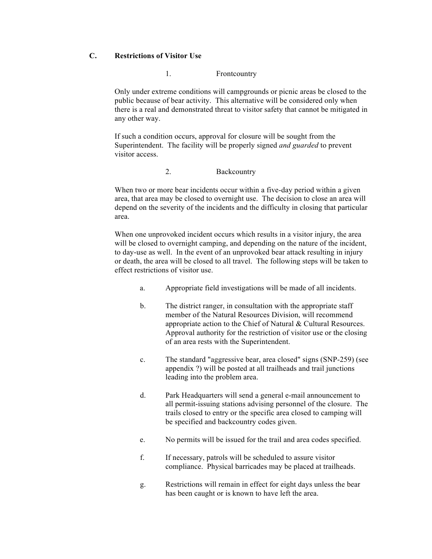# **C. Restrictions of Visitor Use**

## 1. Frontcountry

Only under extreme conditions will campgrounds or picnic areas be closed to the public because of bear activity. This alternative will be considered only when there is a real and demonstrated threat to visitor safety that cannot be mitigated in any other way.

If such a condition occurs, approval for closure will be sought from the Superintendent. The facility will be properly signed *and guarded* to prevent visitor access.

#### 2. Backcountry

When two or more bear incidents occur within a five-day period within a given area, that area may be closed to overnight use. The decision to close an area will depend on the severity of the incidents and the difficulty in closing that particular area.

When one unprovoked incident occurs which results in a visitor injury, the area will be closed to overnight camping, and depending on the nature of the incident, to day-use as well. In the event of an unprovoked bear attack resulting in injury or death, the area will be closed to all travel. The following steps will be taken to effect restrictions of visitor use.

- a. Appropriate field investigations will be made of all incidents.
- b. The district ranger, in consultation with the appropriate staff member of the Natural Resources Division, will recommend appropriate action to the Chief of Natural & Cultural Resources. Approval authority for the restriction of visitor use or the closing of an area rests with the Superintendent.
- c. The standard "aggressive bear, area closed" signs (SNP-259) (see appendix ?) will be posted at all trailheads and trail junctions leading into the problem area.
- d. Park Headquarters will send a general e-mail announcement to all permit-issuing stations advising personnel of the closure. The trails closed to entry or the specific area closed to camping will be specified and backcountry codes given.
- e. No permits will be issued for the trail and area codes specified.
- f. If necessary, patrols will be scheduled to assure visitor compliance. Physical barricades may be placed at trailheads.
- g. Restrictions will remain in effect for eight days unless the bear has been caught or is known to have left the area.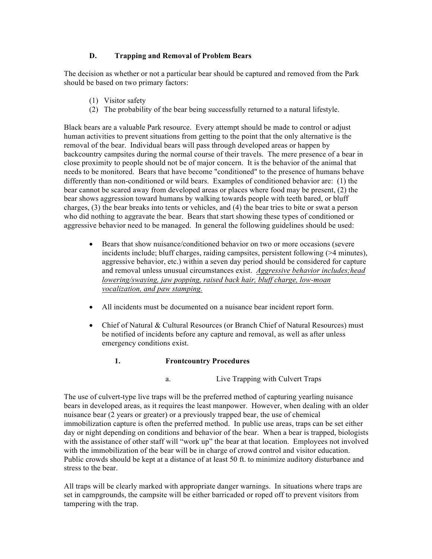# **D. Trapping and Removal of Problem Bears**

The decision as whether or not a particular bear should be captured and removed from the Park should be based on two primary factors:

- (1) Visitor safety
- (2) The probability of the bear being successfully returned to a natural lifestyle.

Black bears are a valuable Park resource. Every attempt should be made to control or adjust human activities to prevent situations from getting to the point that the only alternative is the removal of the bear. Individual bears will pass through developed areas or happen by backcountry campsites during the normal course of their travels. The mere presence of a bear in close proximity to people should not be of major concern. It is the behavior of the animal that needs to be monitored. Bears that have become "conditioned" to the presence of humans behave differently than non-conditioned or wild bears. Examples of conditioned behavior are: (1) the bear cannot be scared away from developed areas or places where food may be present, (2) the bear shows aggression toward humans by walking towards people with teeth bared, or bluff charges, (3) the bear breaks into tents or vehicles, and (4) the bear tries to bite or swat a person who did nothing to aggravate the bear. Bears that start showing these types of conditioned or aggressive behavior need to be managed. In general the following guidelines should be used:

- Bears that show nuisance/conditioned behavior on two or more occasions (severe incidents include; bluff charges, raiding campsites, persistent following (>4 minutes), aggressive behavior, etc.) within a seven day period should be considered for capture and removal unless unusual circumstances exist. *Aggressive behavior includes;head lowering/swaying, jaw popping, raised back hair, bluff charge, low-moan vocalization, and paw stamping.*
- All incidents must be documented on a nuisance bear incident report form.
- Chief of Natural & Cultural Resources (or Branch Chief of Natural Resources) must be notified of incidents before any capture and removal, as well as after unless emergency conditions exist.

## **1. Frontcountry Procedures**

a. Live Trapping with Culvert Traps

The use of culvert-type live traps will be the preferred method of capturing yearling nuisance bears in developed areas, as it requires the least manpower. However, when dealing with an older nuisance bear (2 years or greater) or a previously trapped bear, the use of chemical immobilization capture is often the preferred method. In public use areas, traps can be set either day or night depending on conditions and behavior of the bear. When a bear is trapped, biologists with the assistance of other staff will "work up" the bear at that location. Employees not involved with the immobilization of the bear will be in charge of crowd control and visitor education. Public crowds should be kept at a distance of at least 50 ft. to minimize auditory disturbance and stress to the bear.

All traps will be clearly marked with appropriate danger warnings. In situations where traps are set in campgrounds, the campsite will be either barricaded or roped off to prevent visitors from tampering with the trap.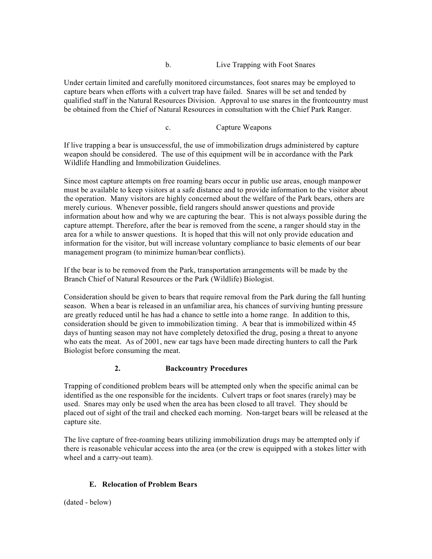#### b. Live Trapping with Foot Snares

Under certain limited and carefully monitored circumstances, foot snares may be employed to capture bears when efforts with a culvert trap have failed. Snares will be set and tended by qualified staff in the Natural Resources Division. Approval to use snares in the frontcountry must be obtained from the Chief of Natural Resources in consultation with the Chief Park Ranger.

c. Capture Weapons

If live trapping a bear is unsuccessful, the use of immobilization drugs administered by capture weapon should be considered. The use of this equipment will be in accordance with the Park Wildlife Handling and Immobilization Guidelines.

Since most capture attempts on free roaming bears occur in public use areas, enough manpower must be available to keep visitors at a safe distance and to provide information to the visitor about the operation. Many visitors are highly concerned about the welfare of the Park bears, others are merely curious. Whenever possible, field rangers should answer questions and provide information about how and why we are capturing the bear. This is not always possible during the capture attempt. Therefore, after the bear is removed from the scene, a ranger should stay in the area for a while to answer questions. It is hoped that this will not only provide education and information for the visitor, but will increase voluntary compliance to basic elements of our bear management program (to minimize human/bear conflicts).

If the bear is to be removed from the Park, transportation arrangements will be made by the Branch Chief of Natural Resources or the Park (Wildlife) Biologist.

Consideration should be given to bears that require removal from the Park during the fall hunting season. When a bear is released in an unfamiliar area, his chances of surviving hunting pressure are greatly reduced until he has had a chance to settle into a home range. In addition to this, consideration should be given to immobilization timing. A bear that is immobilized within 45 days of hunting season may not have completely detoxified the drug, posing a threat to anyone who eats the meat. As of 2001, new ear tags have been made directing hunters to call the Park Biologist before consuming the meat.

## **2. Backcountry Procedures**

Trapping of conditioned problem bears will be attempted only when the specific animal can be identified as the one responsible for the incidents. Culvert traps or foot snares (rarely) may be used. Snares may only be used when the area has been closed to all travel. They should be placed out of sight of the trail and checked each morning. Non-target bears will be released at the capture site.

The live capture of free-roaming bears utilizing immobilization drugs may be attempted only if there is reasonable vehicular access into the area (or the crew is equipped with a stokes litter with wheel and a carry-out team).

## **E. Relocation of Problem Bears**

(dated - below)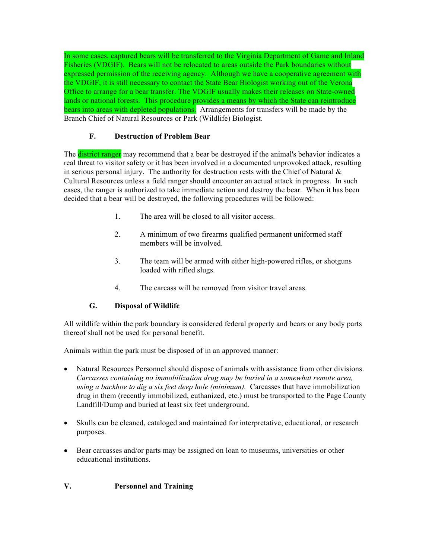In some cases, captured bears will be transferred to the Virginia Department of Game and Inland Fisheries (VDGIF). Bears will not be relocated to areas outside the Park boundaries without expressed permission of the receiving agency. Although we have a cooperative agreement with the VDGIF, it is still necessary to contact the State Bear Biologist working out of the Verona Office to arrange for a bear transfer. The VDGIF usually makes their releases on State-owned lands or national forests. This procedure provides a means by which the State can reintroduce bears into areas with depleted populations. Arrangements for transfers will be made by the Branch Chief of Natural Resources or Park (Wildlife) Biologist.

# **F. Destruction of Problem Bear**

The **district ranger** may recommend that a bear be destroyed if the animal's behavior indicates a real threat to visitor safety or it has been involved in a documented unprovoked attack, resulting in serious personal injury. The authority for destruction rests with the Chief of Natural  $\&$ Cultural Resources unless a field ranger should encounter an actual attack in progress. In such cases, the ranger is authorized to take immediate action and destroy the bear. When it has been decided that a bear will be destroyed, the following procedures will be followed:

- 1. The area will be closed to all visitor access.
- 2. A minimum of two firearms qualified permanent uniformed staff members will be involved.
- 3. The team will be armed with either high-powered rifles, or shotguns loaded with rifled slugs.
- 4. The carcass will be removed from visitor travel areas.

# **G. Disposal of Wildlife**

All wildlife within the park boundary is considered federal property and bears or any body parts thereof shall not be used for personal benefit.

Animals within the park must be disposed of in an approved manner:

- Natural Resources Personnel should dispose of animals with assistance from other divisions. *Carcasses containing no immobilization drug may be buried in a somewhat remote area, using a backhoe to dig a six feet deep hole (minimum).* Carcasses that have immobilization drug in them (recently immobilized, euthanized, etc.) must be transported to the Page County Landfill/Dump and buried at least six feet underground.
- Skulls can be cleaned, cataloged and maintained for interpretative, educational, or research purposes.
- Bear carcasses and/or parts may be assigned on loan to museums, universities or other educational institutions.

# **V. Personnel and Training**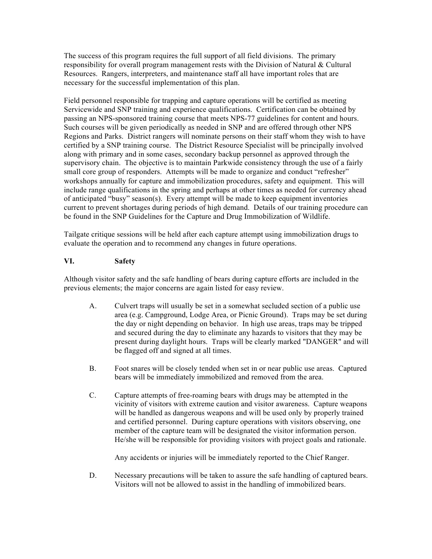The success of this program requires the full support of all field divisions. The primary responsibility for overall program management rests with the Division of Natural & Cultural Resources. Rangers, interpreters, and maintenance staff all have important roles that are necessary for the successful implementation of this plan.

Field personnel responsible for trapping and capture operations will be certified as meeting Servicewide and SNP training and experience qualifications. Certification can be obtained by passing an NPS-sponsored training course that meets NPS-77 guidelines for content and hours. Such courses will be given periodically as needed in SNP and are offered through other NPS Regions and Parks. District rangers will nominate persons on their staff whom they wish to have certified by a SNP training course. The District Resource Specialist will be principally involved along with primary and in some cases, secondary backup personnel as approved through the supervisory chain. The objective is to maintain Parkwide consistency through the use of a fairly small core group of responders. Attempts will be made to organize and conduct "refresher" workshops annually for capture and immobilization procedures, safety and equipment. This will include range qualifications in the spring and perhaps at other times as needed for currency ahead of anticipated "busy" season(s). Every attempt will be made to keep equipment inventories current to prevent shortages during periods of high demand. Details of our training procedure can be found in the SNP Guidelines for the Capture and Drug Immobilization of Wildlife.

Tailgate critique sessions will be held after each capture attempt using immobilization drugs to evaluate the operation and to recommend any changes in future operations.

## **VI. Safety**

Although visitor safety and the safe handling of bears during capture efforts are included in the previous elements; the major concerns are again listed for easy review.

- A. Culvert traps will usually be set in a somewhat secluded section of a public use area (e.g. Campground, Lodge Area, or Picnic Ground). Traps may be set during the day or night depending on behavior. In high use areas, traps may be tripped and secured during the day to eliminate any hazards to visitors that they may be present during daylight hours. Traps will be clearly marked "DANGER" and will be flagged off and signed at all times.
- B. Foot snares will be closely tended when set in or near public use areas. Captured bears will be immediately immobilized and removed from the area.
- C. Capture attempts of free-roaming bears with drugs may be attempted in the vicinity of visitors with extreme caution and visitor awareness. Capture weapons will be handled as dangerous weapons and will be used only by properly trained and certified personnel. During capture operations with visitors observing, one member of the capture team will be designated the visitor information person. He/she will be responsible for providing visitors with project goals and rationale.

Any accidents or injuries will be immediately reported to the Chief Ranger.

D. Necessary precautions will be taken to assure the safe handling of captured bears. Visitors will not be allowed to assist in the handling of immobilized bears.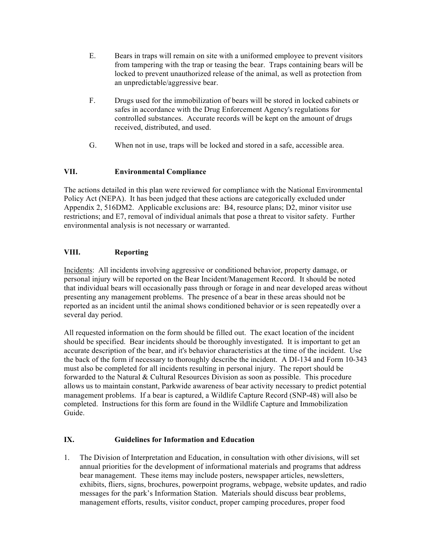- E. Bears in traps will remain on site with a uniformed employee to prevent visitors from tampering with the trap or teasing the bear. Traps containing bears will be locked to prevent unauthorized release of the animal, as well as protection from an unpredictable/aggressive bear.
- F. Drugs used for the immobilization of bears will be stored in locked cabinets or safes in accordance with the Drug Enforcement Agency's regulations for controlled substances. Accurate records will be kept on the amount of drugs received, distributed, and used.
- G. When not in use, traps will be locked and stored in a safe, accessible area.

# **VII. Environmental Compliance**

The actions detailed in this plan were reviewed for compliance with the National Environmental Policy Act (NEPA). It has been judged that these actions are categorically excluded under Appendix 2, 516DM2. Applicable exclusions are: B4, resource plans; D2, minor visitor use restrictions; and E7, removal of individual animals that pose a threat to visitor safety. Further environmental analysis is not necessary or warranted.

# **VIII. Reporting**

Incidents: All incidents involving aggressive or conditioned behavior, property damage, or personal injury will be reported on the Bear Incident/Management Record. It should be noted that individual bears will occasionally pass through or forage in and near developed areas without presenting any management problems. The presence of a bear in these areas should not be reported as an incident until the animal shows conditioned behavior or is seen repeatedly over a several day period.

All requested information on the form should be filled out. The exact location of the incident should be specified. Bear incidents should be thoroughly investigated. It is important to get an accurate description of the bear, and it's behavior characteristics at the time of the incident. Use the back of the form if necessary to thoroughly describe the incident. A DI-134 and Form 10-343 must also be completed for all incidents resulting in personal injury. The report should be forwarded to the Natural & Cultural Resources Division as soon as possible. This procedure allows us to maintain constant, Parkwide awareness of bear activity necessary to predict potential management problems. If a bear is captured, a Wildlife Capture Record (SNP-48) will also be completed. Instructions for this form are found in the Wildlife Capture and Immobilization Guide.

# **IX. Guidelines for Information and Education**

1. The Division of Interpretation and Education, in consultation with other divisions, will set annual priorities for the development of informational materials and programs that address bear management. These items may include posters, newspaper articles, newsletters, exhibits, fliers, signs, brochures, powerpoint programs, webpage, website updates, and radio messages for the park's Information Station. Materials should discuss bear problems, management efforts, results, visitor conduct, proper camping procedures, proper food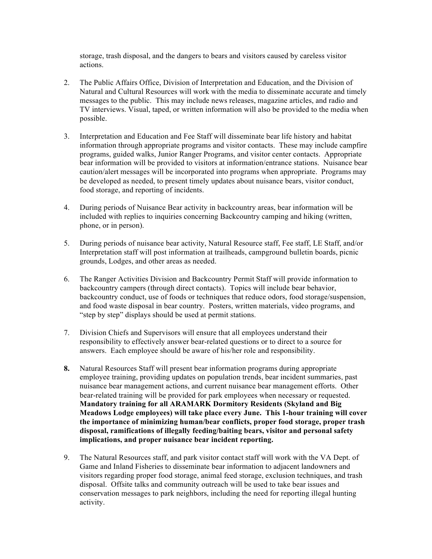storage, trash disposal, and the dangers to bears and visitors caused by careless visitor actions.

- 2. The Public Affairs Office, Division of Interpretation and Education, and the Division of Natural and Cultural Resources will work with the media to disseminate accurate and timely messages to the public. This may include news releases, magazine articles, and radio and TV interviews. Visual, taped, or written information will also be provided to the media when possible.
- 3. Interpretation and Education and Fee Staff will disseminate bear life history and habitat information through appropriate programs and visitor contacts. These may include campfire programs, guided walks, Junior Ranger Programs, and visitor center contacts. Appropriate bear information will be provided to visitors at information/entrance stations. Nuisance bear caution/alert messages will be incorporated into programs when appropriate. Programs may be developed as needed, to present timely updates about nuisance bears, visitor conduct, food storage, and reporting of incidents.
- 4. During periods of Nuisance Bear activity in backcountry areas, bear information will be included with replies to inquiries concerning Backcountry camping and hiking (written, phone, or in person).
- 5. During periods of nuisance bear activity, Natural Resource staff, Fee staff, LE Staff, and/or Interpretation staff will post information at trailheads, campground bulletin boards, picnic grounds, Lodges, and other areas as needed.
- 6. The Ranger Activities Division and Backcountry Permit Staff will provide information to backcountry campers (through direct contacts). Topics will include bear behavior, backcountry conduct, use of foods or techniques that reduce odors, food storage/suspension, and food waste disposal in bear country. Posters, written materials, video programs, and "step by step" displays should be used at permit stations.
- 7. Division Chiefs and Supervisors will ensure that all employees understand their responsibility to effectively answer bear-related questions or to direct to a source for answers. Each employee should be aware of his/her role and responsibility.
- **8.** Natural Resources Staff will present bear information programs during appropriate employee training, providing updates on population trends, bear incident summaries, past nuisance bear management actions, and current nuisance bear management efforts. Other bear-related training will be provided for park employees when necessary or requested. **Mandatory training for all ARAMARK Dormitory Residents (Skyland and Big Meadows Lodge employees) will take place every June. This 1-hour training will cover the importance of minimizing human/bear conflicts, proper food storage, proper trash disposal, ramifications of illegally feeding/baiting bears, visitor and personal safety implications, and proper nuisance bear incident reporting.**
- 9. The Natural Resources staff, and park visitor contact staff will work with the VA Dept. of Game and Inland Fisheries to disseminate bear information to adjacent landowners and visitors regarding proper food storage, animal feed storage, exclusion techniques, and trash disposal. Offsite talks and community outreach will be used to take bear issues and conservation messages to park neighbors, including the need for reporting illegal hunting activity.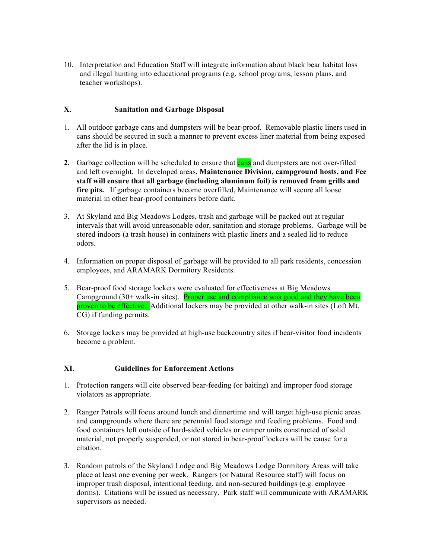10. Interpretation and Education Staff will integrate information about black bear habitat loss and illegal hunting into educational programs (e.g. school programs, lesson plans, and teacher workshops).

# **X. Sanitation and Garbage Disposal**

- 1. All outdoor garbage cans and dumpsters will be bear-proof. Removable plastic liners used in cans should be secured in such a manner to prevent excess liner material from being exposed after the lid is in place.
- **2.** Garbage collection will be scheduled to ensure that **cans** and dumpsters are not over-filled and left overnight. In developed areas, **Maintenance Division, campground hosts, and Fee staff will ensure that all garbage (including aluminum foil) is removed from grills and fire pits.** If garbage containers become overfilled, Maintenance will secure all loose material in other bear-proof containers before dark.
- 3. At Skyland and Big Meadows Lodges, trash and garbage will be packed out at regular intervals that will avoid unreasonable odor, sanitation and storage problems. Garbage will be stored indoors (a trash house) in containers with plastic liners and a sealed lid to reduce odors.
- 4. Information on proper disposal of garbage will be provided to all park residents, concession employees, and ARAMARK Dormitory Residents.
- 5. Bear-proof food storage lockers were evaluated for effectiveness at Big Meadows Campground (30+ walk-in sites). Proper use and compliance was good and they have been proven to be effective. Additional lockers may be provided at other walk-in sites (Loft Mt. CG) if funding permits.
- 6. Storage lockers may be provided at high-use backcountry sites if bear-visitor food incidents become a problem.

## **XI. Guidelines for Enforcement Actions**

- 1. Protection rangers will cite observed bear-feeding (or baiting) and improper food storage violators as appropriate.
- 2. Ranger Patrols will focus around lunch and dinnertime and will target high-use picnic areas and campgrounds where there are perennial food storage and feeding problems. Food and food containers left outside of hard-sided vehicles or camper units constructed of solid material, not properly suspended, or not stored in bear-proof lockers will be cause for a citation.
- 3. Random patrols of the Skyland Lodge and Big Meadows Lodge Dormitory Areas will take place at least one evening per week. Rangers (or Natural Resource staff) will focus on improper trash disposal, intentional feeding, and non-secured buildings (e.g. employee dorms). Citations will be issued as necessary. Park staff will communicate with ARAMARK supervisors as needed.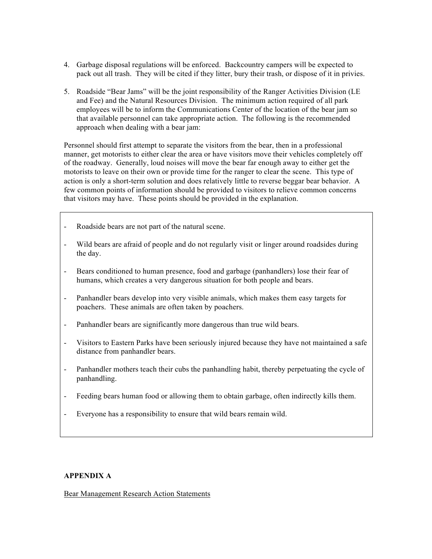- 4. Garbage disposal regulations will be enforced. Backcountry campers will be expected to pack out all trash. They will be cited if they litter, bury their trash, or dispose of it in privies.
- 5. Roadside "Bear Jams" will be the joint responsibility of the Ranger Activities Division (LE and Fee) and the Natural Resources Division. The minimum action required of all park employees will be to inform the Communications Center of the location of the bear jam so that available personnel can take appropriate action. The following is the recommended approach when dealing with a bear jam:

Personnel should first attempt to separate the visitors from the bear, then in a professional manner, get motorists to either clear the area or have visitors move their vehicles completely off of the roadway. Generally, loud noises will move the bear far enough away to either get the motorists to leave on their own or provide time for the ranger to clear the scene. This type of action is only a short-term solution and does relatively little to reverse beggar bear behavior. A few common points of information should be provided to visitors to relieve common concerns that visitors may have. These points should be provided in the explanation.

- Roadside bears are not part of the natural scene.
- Wild bears are afraid of people and do not regularly visit or linger around roadsides during the day.
- Bears conditioned to human presence, food and garbage (panhandlers) lose their fear of humans, which creates a very dangerous situation for both people and bears.
- Panhandler bears develop into very visible animals, which makes them easy targets for poachers. These animals are often taken by poachers.
- Panhandler bears are significantly more dangerous than true wild bears.
- Visitors to Eastern Parks have been seriously injured because they have not maintained a safe distance from panhandler bears.
- Panhandler mothers teach their cubs the panhandling habit, thereby perpetuating the cycle of panhandling.
- Feeding bears human food or allowing them to obtain garbage, often indirectly kills them.
- Everyone has a responsibility to ensure that wild bears remain wild.

# **APPENDIX A**

Bear Management Research Action Statements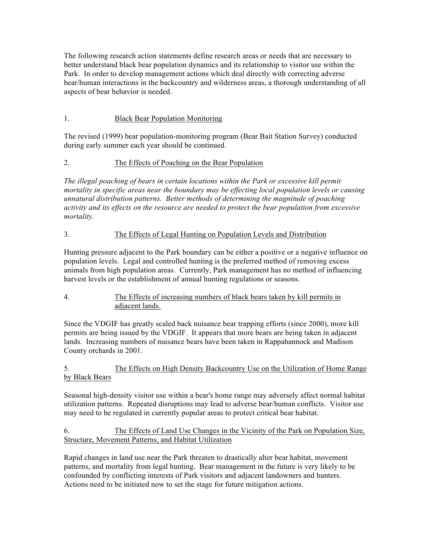The following research action statements define research areas or needs that are necessary to better understand black bear population dynamics and its relationship to visitor use within the Park. In order to develop management actions which deal directly with correcting adverse bear/human interactions in the backcountry and wilderness areas, a thorough understanding of all aspects of bear behavior is needed.

# 1. Black Bear Population Monitoring

The revised (1999) bear population-monitoring program (Bear Bait Station Survey) conducted during early summer each year should be continued.

# 2. The Effects of Poaching on the Bear Population

*The illegal poaching of bears in certain locations within the Park or excessive kill permit mortality in specific areas near the boundary may be effecting local population levels or causing unnatural distribution patterns. Better methods of determining the magnitude of poaching activity and its effects on the resource are needed to protect the bear population from excessive mortality.*

## 3. The Effects of Legal Hunting on Population Levels and Distribution

Hunting pressure adjacent to the Park boundary can be either a positive or a negative influence on population levels. Legal and controlled hunting is the preferred method of removing excess animals from high population areas. Currently, Park management has no method of influencing harvest levels or the establishment of annual hunting regulations or seasons.

# 4. The Effects of increasing numbers of black bears taken by kill permits in adjacent lands.

Since the VDGIF has greatly scaled back nuisance bear trapping efforts (since 2000), more kill permits are being issued by the VDGIF. It appears that more bears are being taken in adjacent lands. Increasing numbers of nuisance bears have been taken in Rappahannock and Madison County orchards in 2001.

# 5. The Effects on High Density Backcountry Use on the Utilization of Home Range by Black Bears

Seasonal high-density visitor use within a bear's home range may adversely affect normal habitat utilization patterns. Repeated disruptions may lead to adverse bear/human conflicts. Visitor use may need to be regulated in currently popular areas to protect critical bear habitat.

## 6. The Effects of Land Use Changes in the Vicinity of the Park on Population Size, Structure, Movement Patterns, and Habitat Utilization

Rapid changes in land use near the Park threaten to drastically alter bear habitat, movement patterns, and mortality from legal hunting. Bear management in the future is very likely to be confounded by conflicting interests of Park visitors and adjacent landowners and hunters. Actions need to be initiated now to set the stage for future mitigation actions.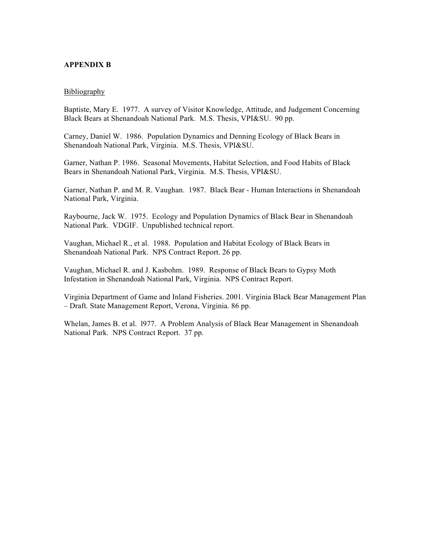#### **APPENDIX B**

#### **Bibliography**

Baptiste, Mary E. 1977. A survey of Visitor Knowledge, Attitude, and Judgement Concerning Black Bears at Shenandoah National Park. M.S. Thesis, VPI&SU. 90 pp.

Carney, Daniel W. 1986. Population Dynamics and Denning Ecology of Black Bears in Shenandoah National Park, Virginia. M.S. Thesis, VPI&SU.

Garner, Nathan P. 1986. Seasonal Movements, Habitat Selection, and Food Habits of Black Bears in Shenandoah National Park, Virginia. M.S. Thesis, VPI&SU.

Garner, Nathan P. and M. R. Vaughan. 1987. Black Bear - Human Interactions in Shenandoah National Park, Virginia.

Raybourne, Jack W. 1975. Ecology and Population Dynamics of Black Bear in Shenandoah National Park. VDGIF. Unpublished technical report.

Vaughan, Michael R., et al. 1988. Population and Habitat Ecology of Black Bears in Shenandoah National Park. NPS Contract Report. 26 pp.

Vaughan, Michael R. and J. Kasbohm. 1989. Response of Black Bears to Gypsy Moth Infestation in Shenandoah National Park, Virginia. NPS Contract Report.

Virginia Department of Game and Inland Fisheries. 2001. Virginia Black Bear Management Plan – Draft. State Management Report, Verona, Virginia. 86 pp.

Whelan, James B. et al. l977. A Problem Analysis of Black Bear Management in Shenandoah National Park. NPS Contract Report. 37 pp.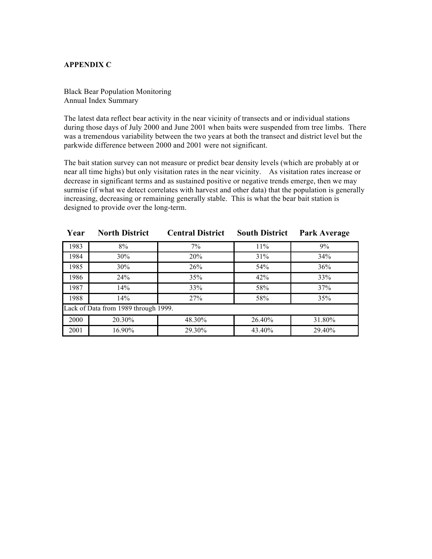## **APPENDIX C**

Black Bear Population Monitoring Annual Index Summary

The latest data reflect bear activity in the near vicinity of transects and or individual stations during those days of July 2000 and June 2001 when baits were suspended from tree limbs. There was a tremendous variability between the two years at both the transect and district level but the parkwide difference between 2000 and 2001 were not significant.

The bait station survey can not measure or predict bear density levels (which are probably at or near all time highs) but only visitation rates in the near vicinity. As visitation rates increase or decrease in significant terms and as sustained positive or negative trends emerge, then we may surmise (if what we detect correlates with harvest and other data) that the population is generally increasing, decreasing or remaining generally stable. This is what the bear bait station is designed to provide over the long-term.

| Year                                 | <b>North District</b> | <b>Central District</b> | <b>South District</b> | Park Average |  |  |  |  |
|--------------------------------------|-----------------------|-------------------------|-----------------------|--------------|--|--|--|--|
| 1983                                 | 8%                    | $7\%$                   | 11%                   | 9%           |  |  |  |  |
| 1984                                 | 30%                   | 20%                     | 31%                   | 34%          |  |  |  |  |
| 1985                                 | 30%                   | 26%                     | 54 <sup>%</sup>       | 36%          |  |  |  |  |
| 1986                                 | 24%                   | 35%                     | 42%                   | 33%          |  |  |  |  |
| 1987                                 | 14%                   | 33%                     | 58%                   | 37%          |  |  |  |  |
| 1988                                 | 14%                   | 27%                     | 58%                   | 35%          |  |  |  |  |
| Lack of Data from 1989 through 1999. |                       |                         |                       |              |  |  |  |  |
| 2000                                 | 20.30%                | 48.30%                  | 26.40%                | 31.80%       |  |  |  |  |
| 2001                                 | 16.90%                | 29.30%                  | 43.40%                | 29.40%       |  |  |  |  |